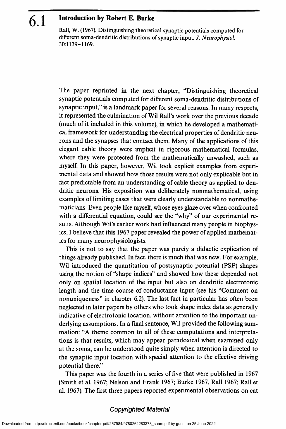# 6.1 Introduction by Robert E. Burke

Rail, W. (1967). Distinguishing theoretical synaptic potentials computed for different soma-dendritic distributions of synaptic input. J. Neurophysiol. 30:1139-1169.

The paper reprinted in the next chapter, "Distinguishing theoretical synaptic potentials computed for different soma-dendritic distributions of synaptic input," is a landmark paper for several reasons. In many respects, it represented the culmination of Wil Rail's work over the previous decade (much of it included in this volume), in which he developed a mathematical framework for understanding the electrical properties of dendritic neurons and the synapses that contact them. Many of the applications of this elegant cable theory were implicit in rigorous mathematical formulas, where they were protected from the mathematically unwashed, such as myself. In this paper, however, Wil took explicit examples from experimental data and showed how those results were not only explicable but in fact predictable from an understanding of cable theory as applied to dendritic neurons. His exposition was deliberately nonmathematical, using examples of limiting cases that were clearly understandable to nonmathematicians. Even people like myself, whose eyes glaze over when confronted with a differential equation, could see the "why" of our experimental results. Although Wil's earlier work had influenced many people in biophysics, I believe that this 1967 paper revealed the power of applied mathematics for many neurophysiologists.

This is not to say that the paper was purely a didactic explication of things already published. In fact, there is much that was new. For example, Wil introduced the quantitation of postsynaptic potential (PSP) shapes using the notion of "shape indices" and showed how these depended not only on spatial location of the input but also on dendritic electrotonic length and the time course of conductance input (see his "Comment on nonuniqueness" in chapter 6.2). The last fact in particular has often been neglected in later papers by others who took shape index data as generally indicative of electrotonic location, without attention to the important underlying assumptions. In a final sentence, Wil provided the following summation: "A theme common to all of these computations and interpretations is that results, which may appear paradoxical when examined only at the soma, can be understood quite simply when attention is directed to the synaptic input location with special attention to the effective driving potential there."

This paper was the fourth in a series of five that were published in 1967 (Smith et al. 1967; Nelson and Frank 1967; Burke 1967, Rall 1967; Rail et al. 1967). The first three papers reported experimental observations on cat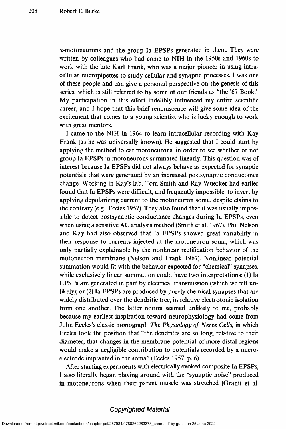$\alpha$ -motoneurons and the group Ia EPSPs generated in them. They were written by colleagues who had come to NIH in the 1950s and 1960s to work with the late Karl Frank, who was a major pioneer in using intracellular micropipettes to study cellular and synaptic processes. J was one of these people and can give a personal perspective on the genesis of this series, which is still referred to by some of our friends as "the '67 Book." My participation in this effort indelibly influenced my entire scientific career, and I hope that this brief reminiscence will give some idea of the excitement that comes to a young scientist who is lucky enough to work with great mentors.

I came to the NIH in 1964 to learn intracellular recording with Kay Frank (as he was universally known). He suggested that I could start by applying the method to cat motoneurons, in order to see whether or not group Ja EPSPs in motoneurons summated linearly. This question was of interest because Ja EPSPs did not always behave as expected for synaptic potentials that were generated by an increased postsynaptic conductance change. Working in Kay's lab, Tom Smith and Ray Wuerker had earlier found that Ia EPSPs were difficult, and frequently impossible, to invert by applying depolarizing current to the motoneuron soma, despite claims to the contrary (e.g., Eccles 1957). They also found that it was usually impossible to detect postsynaptic conductance changes during Ja EPSPs, even when using a sensitive AC analysis method (Smith et al. 1967). Phil Nelson and Kay had also observed that Ia EPSPs showed great variability in their response to currents injected at the motoneuron soma, which was only partially explainable by the nonlinear rectification behavior of the motoneuron membrane (Nelson and Frank 1967). Nonlinear potential summation would fit with the behavior expected for "chemical" synapses, while exclusively linear summation could have two interpretations: (1) Ja EPSPs are generated in part by electrical transmission (which we felt unlikely); or (2) Ia EPSPs are produced by purely chemical synapses that are widely distributed over the dendritic tree, in relative electrotonic isolation from one another. The latter notion seemed unlikely to me, probably because my earliest inspiration toward neurophysiology had come from John Eccles's classic monograph The Physiology of Nerve Cells, in which Eccles took the position that "the dendrites are so long, relative to their diameter, that changes in the membrane potential of more distal regions would make a negligible contribution to potentials recorded by a microelectrode implanted in the soma" (Eccles 1957, p. 6).

After starting experiments with electrically evoked composite Ia EPSPs, I also literally began playing around with the "synaptic noise" produced in motoneurons when their parent muscle was stretched (Granit et al.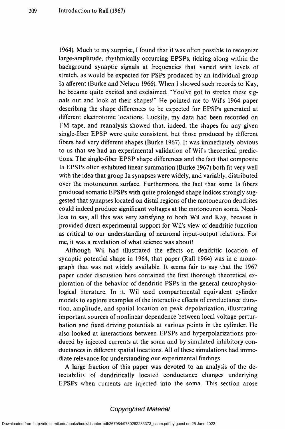1964). Much to my surprise, I found that it was often possible to recognize large-amplitude, rhythmically occurring EPSPs, ticking along within the background synaptic signals at frequencies that varied with levels of stretch, as would be expected for PSPs produced by an individual group Ia afferent (Burke and Nelson 1966). When I showed such records to Kay. he became quite excited and exclaimed, "You've got to stretch these signals out and look at their shapes!" He pointed me to Wit's 1964 paper describing the shape differences to be expected for EPSPs generated at different electrotonic locations. Luckily, my data had been recorded on FM tape. and reanalysis showed that, indeed, the shapes for any given single-fiber EPSP were quite consistent, but those produced by different fibers had very different shapes (Burke 1967). It was immediately obvious to us that we had an experimental validation of Wit's theoretical predictions. The single-fiber EPSP shape differences and the fact that composite Ia EPSPs often exhibited linear summation (Burke 1967) both fit very well with the idea that group Ia synapses were widely, and variably, distributed over the motoneuron surface. Furthermore, the fact that some Ia fibers produced somatic EPSPs with quìte prolonged shape indices strongly suggested that synapses located on distal regions of the motoneuron dendrites could indeed produce significant voltages at the motoneuron soma. Needless to say, all this was very satisfying to both Wil and Kay, because it provided direct experimental support for Wil's view of dendritic function as critical to our understanding of neuronal input-output relations. For me, it was a revelation of what science was about!

Although Wil had illustrated the effects on dendritic location of synaptic potential shape in 1964, that paper (Rail 1964) was in a monograph that was not widely available. It seems fair to say that the 1967 paper under discussion here contained the first thorough theoretical exploration of the behavior of dendritic PSPs in the general neurophysiological literature. In it. Wil used compartmental equivalent cylinder models to explore examples of the interactive effects of conductance duration, amplitude, and spatial location on peak depolarization, illustrating important sources of nonlinear dependence between local voltage perturbation and fixed driving potentials at various points in the cylinder. He also looked at interactions between EPSPs and hvperpolarizations produced by injected currents at the soma and by simulated inhibitory conductances in different spatial locations. All of these simulations had immediate relevance for understanding our experimental findings.

A large fraction of this paper was devoted to an analysis of the detectability of dendritically located conductance changes underlying EPSPs when currents are injected into the soma. This section arose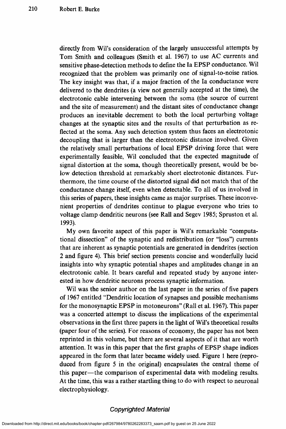directly from Wil's consideration of the largely unsuccessful attempts by Tom Smith and colleagues (Smith et al. 1967) to use AC currents and sensitive phase-detection methods to define the Ja EPSP conductance. Wil recognized that the problem was primarily one of signal-to-noise ratios. The key insight was that, if a major fraction of the Ja conductance were delivered to the dendrites (a view not generally accepted at the time), the electrotonic cable intervening between the soma (the source of current and the site of measurement) and the distant sites of conductance change produces an inevitable decrement to both the local perturbing voltage changes at the synaptic sites and the results of that perturbation as reflected at the soma. Any such detection system thus faces an electrotonic decoupling that is larger than the electrotonic distance involved. Given the relatively small perturbations of local EPSP driving force that were experimentally feasible, Wil concluded that the expected magnitude of signal distortion at the soma, though theoretically present, would be below detection threshold at remarkably short electrotonic distances. Furthermore, the time course of the distorted signal did not match that of the conductance change itself, even when detectable. To all of us involved in this series of papers, these insights came as major surprises. These inconvenient properties of dendrites continue to plague everyone who tries to voltage clamp dendritic neurons (see Rail and Segev 1985; Spruston et al. 1993).

My own favorite aspect of this paper is Wïl's remarkable "computational dissection" of the synaptic and redistribution (or "loss") currents that are inherent as synaptic potentials are generated in dendrites (section 2 and figure 4). This brief section presents concise and wonderfully lucid insights into why synaptic potential shapes and amplitudes change in an electrotonic cable. It bears careful and repeated study by anyone interested in how dendritic neurons process synaptic information.

Wil was the senior author on the last paper in the series of five papers of 1967 entitled "Dendritic location of synapses and possible mechanisms for the monosynaptic EPSP in motoneurons" (Rall et al. 1967). This paper was a concerted attempt to discuss the implications of the experimental observations in the first three papers in the light of Wil's theoretical results (paper four of the series). For reasons of economy, the paper has not been reprinted in this volume, but there are several aspects of it that are worth attention. It was in this paper that the first graphs of EPSP shape indices appeared in the form that later became widely used. Figure 1 here (reproduced from figure 5 in the original) encapsulates the central theme of this paper—the comparison of experimental data with modeling results. At the time, this was a rather startling thing to do with respect to neuronal electrophysiology.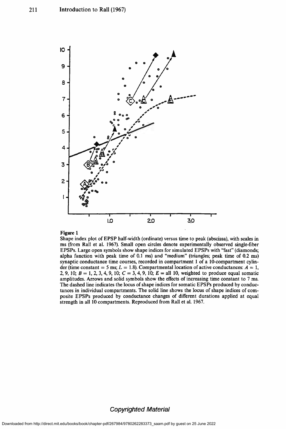

#### Figure 1

Shape index plot of EPSP half-width (ordinate) versus time to peak (abscissa), with scales in ms (from Rail et al. 1967). Small open circles denote experimentally observed single-fiber EPSPs. Large open symbols show shape indices for simulated EPSPs with "fast" (diamonds; alpha function with peak time of 0.1 ms) and "medium" (triangles; peak time of 0.2 ms) synaptic conductance time courses, recorded in compartment 1 of a 10-compartment cylinder (time constant = 5 ms;  $L = 1.8$ ). Compartmental location of active conductances:  $A = 1$ , 2, 9, 10;  $B = 1, 2, 3, 4, 9, 10$ ;  $C = 3, 4, 9, 10$ ;  $E = \text{all } 10$ , weighted to produce equal somatic amplitudes. Arrows and solid symbols show the effects of increasing time constant to 7 ms. The dashed line indicates the locus of shape indices for somatic EPSPs produced by conductances in individual compartments. The solid line shows the locus of shape indices of composite EPSPs produced by conductance changes of different durations applied at equal strength in all 10 compartments. Reproduced from Rail et al. 1967.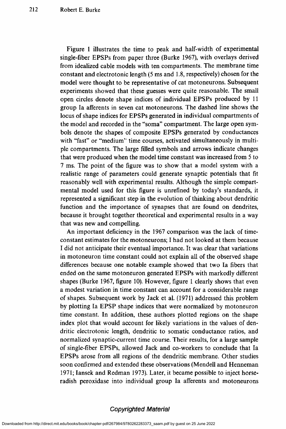Figure 1 illustrates the time to peak and half-width of experimental single-fiber EPSPs from paper three (Burke 1967), with overlays derived from idealized cable models with ten compartments. The membrane time constant and electrotonic length (5 ms and 1.8, respectively) chosen for the model were thought to be representative of cat motoneurons. Subsequent experiments showed that these guesses were quite reasonable. The small open circles denote shape indices of individual EPSPs produced by 11 group la afferents in seven cat motoneurons. The dashed line shows the locus of shape indices for EPSPs generated in indìvidual compartments of the model and recorded in the "soma" compartment. The large open symbols denote the shapes of composite EPSPs generated by conductances with "fast" or "medium" time courses, activated simultaneously in multipie compartments. The large filled symbols and arrows indicate changes that were produced when the model time constant was increased from 5 to 7 ms. The point of the figure was to show that a model system with a realistic range of parameters could generate synaptic potentials that fit reasonably well with experimental results. Although the simple compartmental model used for this figure is unrefined by today's standards, it represented a significant step in the evolution of thinking about dendritic function and the importance of synapses that are found on dendrites, because it brought together theoretical and experimental results in a way that was new and compelling.

An important deficiency in the 1967 comparison was the lack of timeconstant estimates for the motoneurons; I had not looked at them because I did not anticipate their eventual importance. It was clear that variations in motoneuron time constant could not explain all of the observed shape differences because one notable example showed that two Ja fibers that ended on the same motoneuron generated EPSPs with markedly different shapes (Burke 1967, figure 10). However, figure 1 clearly shows that even a modest variation in time constant can account for a considerable range of shapes. Subsequent work by Jack et al. (1971) addressed this problem by plotting Ia EPSP shape indices that were normalized by motoneuron time constant. In addition, these authors plotted regions on the shape index plot that would account for likely variations in the values of dendritic electrotonic length, dendritic to somatic conductance ratios, and normalized synaptic-current time course. Their results, for a large sample of single-fiber EPSPs, allowed Jack and co-workers to conclude that Ja EPSPs arose from all regions of the dendritic membrane. Other studies soon confirmed and extended these observations (Mendell and Henneman 1971; lansek and Redman 1973). Later, it became possible to inject horseradish peroxidase into individual group la afferents and motoneurons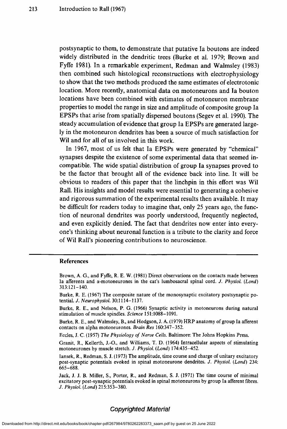postsynaptic to them, to demonstrate that putative Ia boutons are indeed widely distributed in the dendritic trees (Burke et al. 1979; Brown and Fyffe 1981). In a remarkable experiment, Redman and Walmsley (1983) then combined such histological reconstructions with electrophysiology to show that the two methods produced the same estimates of electrotonic location. More recently, anatomical data on motoneurons and la bouton locations have been combined with estimates of motoneuron membrane properties to model the range in size and amplitude of composite group Ia EPSPs that arise from spatially dispersed boutons (Segev et al. 1990). The steady accumulation of evidence that group Ia EPSPs are generated largely in the motoneuron dendrites has been a source of much satisfaction for Wil and for all of us involved in this work.

In 1967, most of us felt that Ia EPSPs were generated by "chemical" synapses despite the existence of some experimental data that seemed incompatible. The wide spatial distribution of group Ia synapses proved to be the factor that brought all of the evidence back into line. lt will be obvious to readers of this paper that the linchpin in this effort was Wil Rail. His insights and model results were essential to generating a cohesive and rigorous summation of the experimental results then available. It may be difficult for readers today to imagine that, only 25 years ago, the function of neuronal dendrites was poorly understood, frequently neglected, and even explicitly denied. The fact that dendrites now enter into everyone's thinking about neuronal function is a tribute to the clarity and force of Wil RaIl's pioneering contributions to neuroscience.

#### References

Brown, A. G., and Fyffe, R. E. W. (1981) Direct observations on the contacts made between Ia afferents and  $\alpha$ -motoneurones in the cat's lumbosacral spinal cord. J. Physiol. (Lond) 3 13:121-140.

Burke, R. E. (1967) The composite nature of the monosynaptic excitatory postsynaptic potential. J. Neurophysiol. 30:1114-1137.

Burke. R. E., and Nelson, P. G. (1966) Synaptic activity in motoneurons during natural stimulation of muscle spindles. Science 151:1088-1091.

Burke, R. E., and Walmsley, B., and Hodgson, J. A. (1979) HRP anatomy of group Ia afferent contacts on alpha motoneurones. Brain Res 160:347-352.

Eccles, J. C. (1957) The Physiology of Nerve Cells. Baltimore: The Johns Hopkins Press.

Granit, R., Kellerth, J-O., and Williams. T. D. (1964) Intracellular aspects of stimulating motoneurones by muscle stretch. J. Physiol. (Lond) 174:435-452.

lansek, R., Redman, S.J. (1973) The amplitude, time course and charge of unitary excitatory post-synaptic potentials evoked in spinal motoneurone dendrites. J. Physiol. (Land) 234: 665-688.

Jack, J. J. B. Miller, S., Porter. R., and Redman, S. J. (1971) The time course of minimal excitatory post-synaptic potentials evoked in spinal motoneurons by group Ia afferent fibres. J. Physiol. (Lond) 215:353-380.